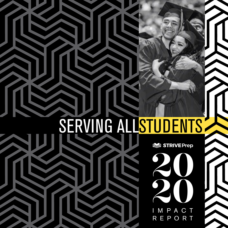

STRIVE Prep

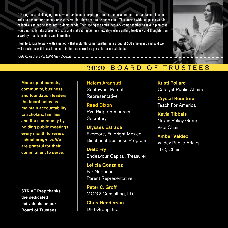" During these challenging times, what has been so inspiring to me is the collaboration that has taken place in order to ensure our students receive everything they need to be successful. This started with campuses working collectively to get devices into students hands. Then seeing the entire network come together to take a plan that would normally take a year to create and make it happen in a few days while getting feedback and thoughts from a variety of stakeholders was incredible.

I feel fortunate to work with a network that instantly came together as a group of 500 employees and said we will do whatever it takes to make this time as normal as possible for our students."

*- Mika Krause, Principal at STRIVE Prep - Sunnyside*



STRIVE Prep thanks the dedicated individuals on our Board of Trustees.

#### Helem Aranguti Southwest Parent Representative

Reed Dixon Rye Ridge Resources, **Secretary** 

Ulysses Estrada Evercore, Fulbright Mexico Binational Business Program

Dietz Fry Endeavour Capital, Treasurer

Leticia Gonzalez Far Northeast Parent Representative

Peter C. Groff MCG2 Consulting, LLC

Chris Henderson DHI Group, Inc.



#### Kristi Pollard Catalyst Public Affairs

**2020** BOARD OF TRUSTEES

Crystal Rountree Teach For America

Kayla Tibbals Nexus Policy Group, Vice Chair

Amber Valdez Valdez Public Affairs, LLC, Chair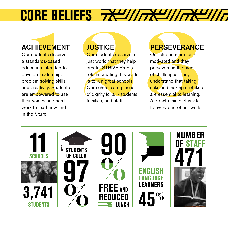## **CORE BELIEFS** 7X1/7X1/7

## **ACHIEVEMENT**

Our students deserve a standards-based education intended to develop leadership, problem solving skills, and creativity. Students are empowered to use their voices and hard work to lead now and in the future.

Our students deserve a just world that they help create. STRIVE Prep's role in creating this world is to run great schools. Our schools are places of dignity for all - students, families, and staff.

## **PERSEVERANCE**

**123**<br> **123**<br> **123**<br> **123**<br> **123**<br> **123**<br> **123**<br> **123**<br> **123**<br> **123**<br> **123**<br> **123**<br> **123**<br> **123**<br> **123**<br> **123**<br> **123**<br> **123**<br> **123**<br> **123**<br> **123**<br> **123**<br> **124**<br> **124**<br> **124**<br> **124**<br> **124**<br> **124**<br> **124**<br> **124**<br> **124**<br> **124** Our students are selfmotivated and they persevere in the face of challenges. They understand that taking risks and making mistakes are essential to learning. A growth mindset is vital to every part of our work.

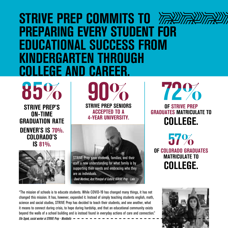## **STRIVE PREP COMMITS TO TEXULE PREPARING EVERY STUDENT FOR EDUCATIONAL SUCCESS FROM KINDERGARTEN THROUGH COLLEGE AND CAREER.**

**85%**<br>STRIVE PREP'S **STRIVE PREP'S ON-TIME GRADUATION RATE DENVER'S IS 70%. COLORADO'S IS 81%.**

**STRIVE PREP SENIORS ACCEPTED TO A 4-YEAR UNIVERSITY.** 



STRIVE Prep gave students, families, and their staff a new understanding for what family is by supporting their needs and embracing who they are as individuals. *-David Martinez, Asst Principal of Culture, STRIVE Prep - Lake*

**72% OF STRIVE PREP GRADUATES MATRICULATE TO** 

**COLLEGE.**

**OF COLORADO GRADUATES 57% MATRICULATE TO COLLEGE.**

"The mission of schools is to educate students. While COVID-19 has changed many things, it has not changed this mission. It has, however, expanded it. Instead of simply teaching students english, math, science and social studies, STRIVE Prep has decided to teach their students, and one another, what it means to connect during crisis, to hope during hardship, and that an educational community exists beyond the walls of a school building and is instead found in everyday actions of care and connection." *Elle Sypek, social worker at STRIVE Prep - Montbello*

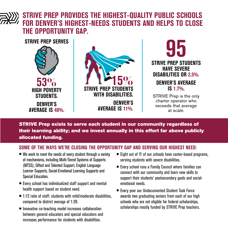### **STRIVE PREP PROVIDES THE HIGHEST-QUALITY PUBLIC SCHOOLS FOR DENVER'S HIGHEST-NEEDS STUDENTS AND HELPS TO CLOSE THE OPPORTUNITY GAP.**



STRIVE Prep exists to serve each student in our community regardless of their learning ability; and we invest annually in this effort far above publicly allocated funding.

#### **SOME OF THE WAYS WE'RE CLOSING THE OPPORTUNITY GAP AND SERVING OUR HIGHEST NEED:**

- We work to meet the needs of every student through a variety of mechanisms, including Multi-Tiered Systems of Supports (MTSS), Gifted and Talented Support, English Language Learner Supports, Social-Emotional Learning Supports and Special Education.
- Every school has individualized staff support and mental health support based on student need.
- 1:12 ratio of staff: students with mild/moderate disabilities compared to district average of 1:20.
- Innovative co-teaching model increases collaboration between general educators and special educators and increases performance for students with disabilities.
- **Eight out of 11 of our schools have center-based programs,** serving students with severe disabilities.
- Every school runs a Family Council where families can connect with our community and learn new skills to support their students' postsecondary goals and socialemotional needs.
- Every year our Undocumented Student Task Force awards two graduating seniors from each of our high schools who are not eligible for federal scholarships, scholarships mostly funded by STRIVE Prep teachers.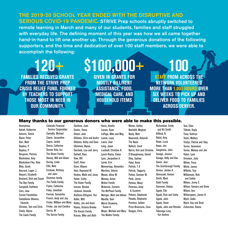#### THE 2019-20 SCHOOL YEAR ENDED WITH THE DISRUPTIVE AND SERIOUS COVID-19 PANDEMIC. STRIVE Prep schools abruptly switched to

remote learning in March and many of our students, families and staff struggled with everyday life. The defining moment of this year was how we all came together hand-in-hand to lift one another up. Through the generous donations of the following supporters, and the time and dedication of over 100 staff members, we were able to accomplish the following:

## **120+**

**FAMILIES RECEIVED GRANTS FROM THE STRIVE PREP CRISIS RELIEF FUND, FORMED BY TEACHERS TO SUPPORT THOSE MOST IN NEED IN OUR COMMUNITY.**

## **\$100,000+ GIVEN IN GRANTS FOR**

**MOSTLY BILL/RENT ASSISTANCE, FOOD, MEDICAL CARE, AND HOUSEHOLD ITEMS**

### **STAFF FROM ACROSS THE NETWORK VOLUNTEERED MORE THAN 1,000 HOURS OVER SIX WEEKS TO PICK UP AND DELIVER FOOD TO FAMILIES ACROSS DENVER. 100**

#### Many thanks to our generous donors who were able to make this possible.

Anonymous Anhalt, Katherine Autumn, Yaneis Bacot, Peter Barr, Matt Bayless, P. Bayless, P. Bergeron, Patricia Blackstone, Amy Blackstone Fike, Kate Bliss, Sarah Boccard, Logan J. Bossert, Elizabeth Brainard, Dick and Susan The Bye Family Campbell, Kathleen Caro, Jose Carson Foundation Castellanos Olivares, Eduardo Christon, Tom and Chris Ciesla, Alyssa The Coats Family

Colorado Financial Service Corporation Connolly, Michael Coyne, Jacqueline Coyne, Jackie Dance, Catherine Denver Kids, Inc. The Devon Family Dorsey, Will and Alison During, Linda Ellis, Nate Erickson, Brittany and John Stummer family The Fields Family Fisher, Catherine Foley, Jonathan Forman, Samantha French, Andy and Joy Fricke, WIlliam and Misty Fricke, Joe and Candice Garcia, M The Garcia Family

Garduno, Juan Genier, Teena Ghosh, Josh Gibbons, Chris and Audra Levine, Louis Gibbons, Kathy and Dave Loera, Jose Glickman, Alyssa Gorchels, Lisa and Jerry Gothelf, Ross Gow, Bill Groff, Peter Gunn, Allyson Hain, Raymond W. Heaton, Maile and Jesse Huber, Cathy The Huber Family Iverson, Nicolas Jackson, Amanda Kashima-Ellingson, Yuri Keller, Witt Kelley, Jim and Amie Klaess, Victoria Brooke The Koryto Family Krause, Mike and Beth

Kucic, Amelia Larson, Ryan LePage, Mike and Meg Long, Jason Lundvall, Christine R. Lynch-Rocha, Eloisa Lynn, Jacqueline A. Lynne, Erin Mannerings, Alexandra Martinez, Valeria Mason, Alexa M. Massey, Aaron Mckee Family Mckenzie, Zennero The McPhaul Family Metzger, Matt and Allison Morello, Dani Morris Ovuworie, Susan A. Moyer, Michael and Mary Reagan, Chris The Mullen Family

Munoz, Ashley Nanfeldt, Meghan Neely, Matt Newcomb, Deborah The Noels Nollsch, Carol Norris, Kirk and Christine O'Shaughnessy, Daniel Otey, Sydney Patel, Kevin Patrick, T A Patrick, Taggarty Patton, Samson W. Penk, Jenny Perkins, Missy Peterson, Andy & Suzanne Polvere, Stephanie Posada, Stephanie Prentice, Selden Price-Broncucia, Zena

Richardson, Emily and Kit Smith Rifkind, N. Robel, Amy Rowe, Lucia Rowe, Jim Sangimino, John Savage, Jessica Savage, Holly and Dan Saven, Jess The Scarborough Family Seman, Jordan A. Shimozaki, Kenton Smith, Mark Stahl Family Stummer, Kelsey Sypek, Elle Sypek, Rich and Cathy Sypek, John Sypek, Steve Sypek, John and Rhonda Zickerman, Donna Takenaga Luna, Yuri Andrea

Teel, Ellen Tibbals, Kayla Tissa, Kathryn Tozier, Mallory Tristyn, Patrick and Toby Turner, Genevieve Turner, Melissa and Jim Viater, Lynn Virnstein, Julia Weber, Tracy White, James Willetto, Trey Williamson, Rick and Cathie Wilson, Jenny E. Wilson, Samara and Drew Wilson, Ann Witherspoon, James R. Wych, Sadie Wych, Kay and Brad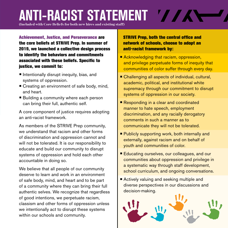# **ANTI-RACIST STATEMENT**

**(Included with Core Beliefs for both new hires and existing staff)**

Achievement, Justice, and Perseverance are the core beliefs at STRIVE Prep. In summer of 2019, we launched a collective design process to identify the behaviors and commitments associated with these beliefs. Specific to justice, we commit to:

- Intentionally disrupt inequity, bias, and systems of oppression.
- Creating an environment of safe body, mind, and heart.
- Building a community where each person can bring their full, authentic self.

A core component of justice requires adopting an anti-racist framework.

As members of the STRIVE Prep community, we understand that racism and other forms of discrimination and oppression cannot and will not be tolerated. It is our responsibility to educate and build our community to disrupt systems of oppression and hold each other accountable in doing so.

We believe that all people of our community deserve to learn and work in an environment of safe body, mind, and heart and to be part of a community where they can bring their full authentic selves. We recognize that regardless of good intentions, we perpetuate racism, classism and other forms of oppression unless we intentionally act to disrupt these systems within our schools and community.

STRIVE Prep, both the central office and network of schools, choose to adopt an anti-racist framework by:

- Acknowledging that racism, oppression, and privilege perpetuate forms of inequity that communities of color suffer through every day.
- Challenging all aspects of individual, cultural, academic, political, and institutional white supremacy through our commitment to disrupt systems of oppression in our society.
- Responding in a clear and coordinated manner to hate speech, employment discrimination, and any racially derogatory comments in such a manner as to communicate they will not be tolerated.
- Publicly supporting work, both internally and externally, against racism and on behalf of youth and communities of color.
- **Educating ourselves, our colleagues, and our** communities about oppression and privilege in a systematic way through staff development, school curriculum, and ongoing conversations.
- Actively valuing and seeking multiple and diverse perspectives in our discussions and decision-making.